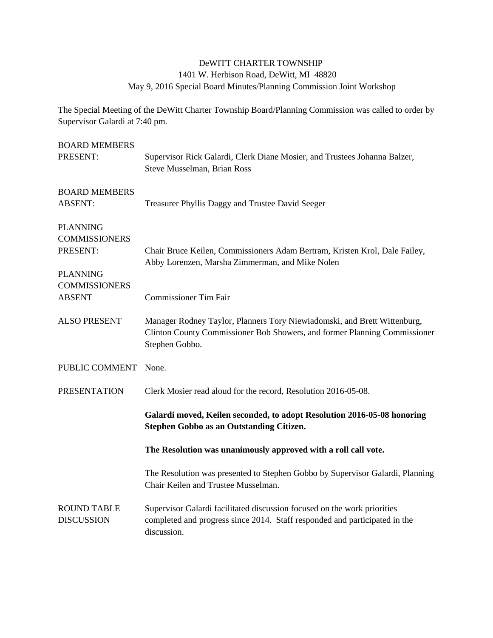## DeWITT CHARTER TOWNSHIP

## 1401 W. Herbison Road, DeWitt, MI 48820

May 9, 2016 Special Board Minutes/Planning Commission Joint Workshop

The Special Meeting of the DeWitt Charter Township Board/Planning Commission was called to order by Supervisor Galardi at 7:40 pm.

| <b>BOARD MEMBERS</b><br>PRESENT:                                                               | Supervisor Rick Galardi, Clerk Diane Mosier, and Trustees Johanna Balzer,<br>Steve Musselman, Brian Ross                                                                |
|------------------------------------------------------------------------------------------------|-------------------------------------------------------------------------------------------------------------------------------------------------------------------------|
| <b>BOARD MEMBERS</b><br><b>ABSENT:</b>                                                         | Treasurer Phyllis Daggy and Trustee David Seeger                                                                                                                        |
| <b>PLANNING</b><br><b>COMMISSIONERS</b><br>PRESENT:<br><b>PLANNING</b><br><b>COMMISSIONERS</b> | Chair Bruce Keilen, Commissioners Adam Bertram, Kristen Krol, Dale Failey,<br>Abby Lorenzen, Marsha Zimmerman, and Mike Nolen                                           |
| <b>ABSENT</b>                                                                                  | <b>Commissioner Tim Fair</b>                                                                                                                                            |
| <b>ALSO PRESENT</b>                                                                            | Manager Rodney Taylor, Planners Tory Niewiadomski, and Brett Wittenburg,<br>Clinton County Commissioner Bob Showers, and former Planning Commissioner<br>Stephen Gobbo. |
| PUBLIC COMMENT                                                                                 | None.                                                                                                                                                                   |
| <b>PRESENTATION</b>                                                                            | Clerk Mosier read aloud for the record, Resolution 2016-05-08.                                                                                                          |
|                                                                                                | Galardi moved, Keilen seconded, to adopt Resolution 2016-05-08 honoring<br><b>Stephen Gobbo as an Outstanding Citizen.</b>                                              |
|                                                                                                | The Resolution was unanimously approved with a roll call vote.                                                                                                          |
|                                                                                                | The Resolution was presented to Stephen Gobbo by Supervisor Galardi, Planning<br>Chair Keilen and Trustee Musselman.                                                    |
| <b>ROUND TABLE</b><br><b>DISCUSSION</b>                                                        | Supervisor Galardi facilitated discussion focused on the work priorities<br>completed and progress since 2014. Staff responded and participated in the<br>discussion.   |